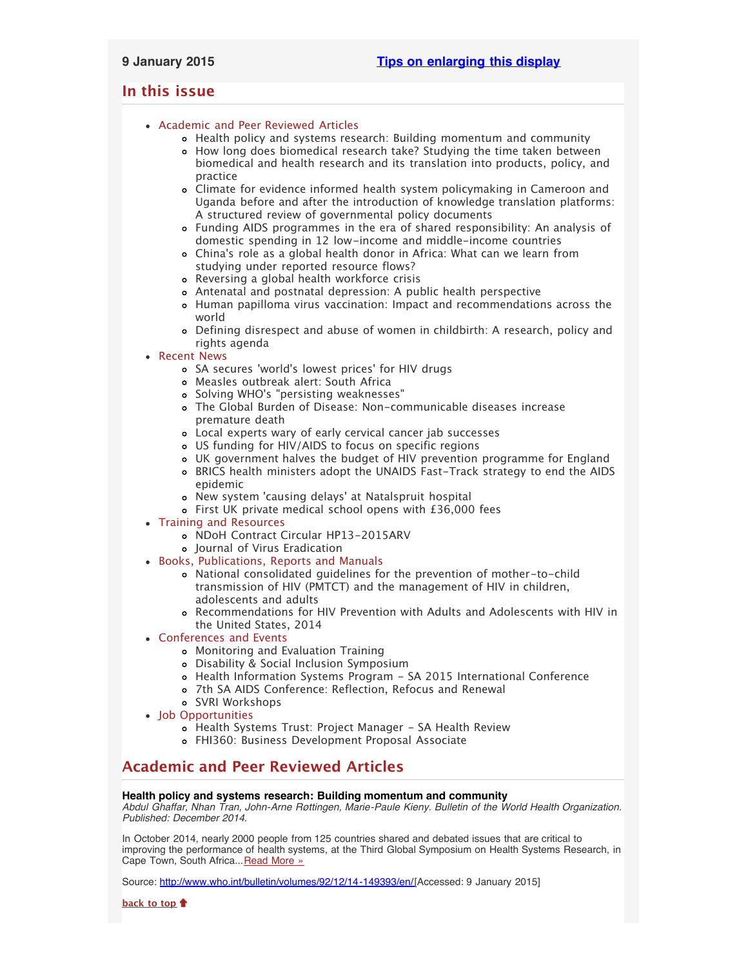# <span id="page-0-2"></span>**In this issue**

- [Academic and Peer Reviewed Articles](#page-0-0)
	- [Health policy and systems research: Building momentum and community](#page-0-1)
	- [How long does biomedical research take? Studying the time taken between](#page-1-0) [biomedical and health research and its translation into products, policy, and](#page-1-0) [practice](#page-1-0)
	- [Climate for evidence informed health system policymaking in Cameroon and](#page-1-1) [Uganda before and after the introduction of knowledge translation platforms:](#page-1-1) [A structured review of governmental policy documents](#page-1-1)
	- [Funding AIDS programmes in the era of shared responsibility: An analysis of](#page-1-2) [domestic spending in 12 low-income and middle-income countries](#page-1-2)
	- China['s role as a global health donor in Africa: What can we learn from](#page-1-2) [studying under reported resource flows?](#page-1-2)
	- [Reversing a global health workforce crisis](#page-1-3)
	- [Antenatal and postnatal depression: A public health perspective](#page-1-4)
	- [Human papilloma virus vaccination: Impact and recommendations across the](#page-1-5) [world](#page-1-5)
	- [Defining disrespect and abuse of women in childbirth: A research, policy and](#page-2-0) [rights agenda](#page-2-0)

# [Recent News](#page-2-1)

- SA secures ['world's lowest prices' for HIV drugs](#page-2-2)
- [Measles outbreak alert: South Africa](#page-2-3)
- Solving WHO['s "persisting weaknesses"](#page-2-4)
- [The Global Burden of Disease: Non-communicable diseases increase](#page-2-5) [premature death](#page-2-5)
- [Local experts wary of early cervical cancer jab successes](#page-2-6)
- [US funding for HIV/AIDS to focus on specific regions](#page-3-0)
- [UK government halves the budget of HIV prevention programme for England](#page-3-1)
- [BRICS health ministers adopt the UNAIDS Fast-Track strategy to end the AIDS](#page-3-2) [epidemic](#page-3-2)
- New system ['causing delays' at Natalspruit hospital](#page-3-3)
- [First UK private medical school opens with £36,000 fees](#page-3-4)
- [Training and Resources](#page-3-5)
	- o [NDoH Contract Circular HP13-2015ARV](#page-3-6)
	- o lournal of Virus Eradication
- [Books, Publications, Reports and Manuals](#page-4-0)
	- [National consolidated guidelines for the prevention of mother-to-child](#page-4-1) [transmission of HIV \(PMTCT\) and the management of HIV in children,](#page-4-1) [adolescents and adults](#page-4-1)
	- [Recommendations for HIV Prevention with Adults and Adolescents with HIV in](#page-4-2) [the United States, 2014](#page-4-2)
- [Conferences and Events](#page-4-3)
	- [Monitoring and Evaluation Training](#page-4-4)
	- [Disability & Social Inclusion Symposium](#page-4-5)
	- [Health Information Systems Program SA 2015 International Conference](#page-4-6)
	- [7th SA AIDS Conference: Reflection, Refocus and Renewal](#page-4-7)
	- [SVRI Workshops](#page-4-8)
- [Job Opportunities](#page-5-0)
	- [Health Systems Trust: Project Manager SA Health Review](#page-5-1)
	- [FHI360: Business Development Proposal Associate](#page-5-2)

# <span id="page-0-0"></span>**Academic and Peer Reviewed Articles**

# <span id="page-0-1"></span>**Health policy and systems research: Building momentum and community**

*Abdul Ghaffar, Nhan Tran, John-Arne Røttingen, Marie-Paule Kieny. Bulletin of the World Health Organization. Published: December 2014.*

In October 2014, nearly 2000 people from 125 countries shared and debated issues that are critical to improving the performance of health systems, at the Third Global Symposium on Health Systems Research, in Cape Town, South Africa... [Read More »](http://www.who.int/bulletin/volumes/92/12/14-149393/en/)

Source: [http://www.who.int/bulletin/volumes/92/12/14-149393/en/\[](http://www.who.int/bulletin/volumes/92/12/14-149393/en/)Accessed: 9 January 2015]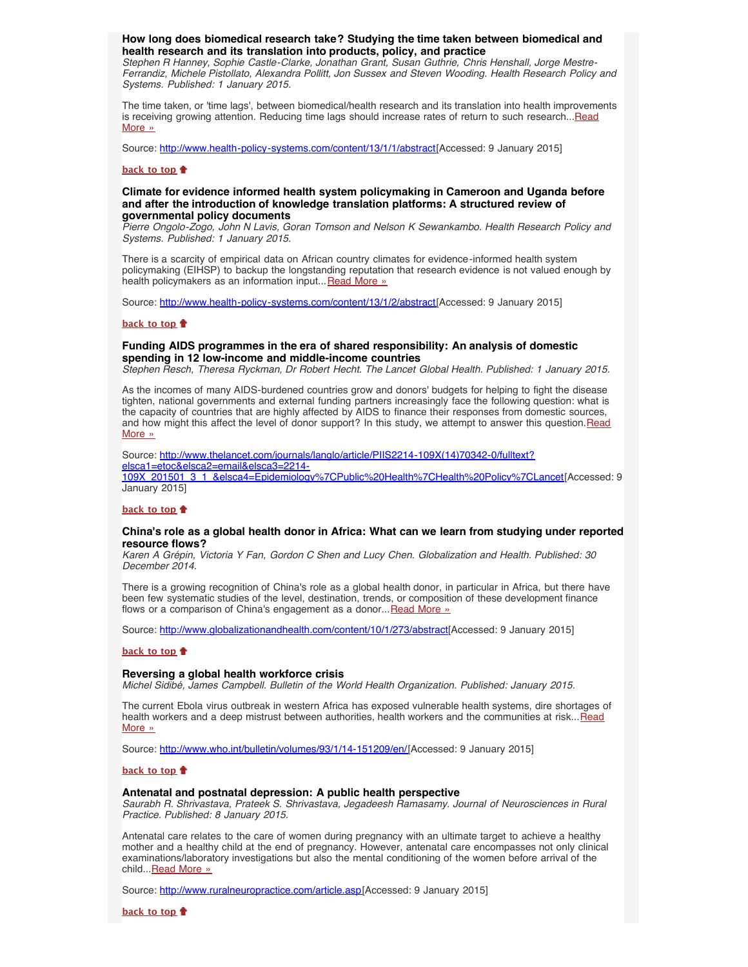## <span id="page-1-0"></span>**How long does biomedical research take? Studying the time taken between biomedical and health research and its translation into products, policy, and practice**

*Stephen R Hanney, Sophie Castle-Clarke, Jonathan Grant, Susan Guthrie, Chris Henshall, Jorge Mestre-Ferrandiz, Michele Pistollato, Alexandra Pollitt, Jon Sussex and Steven Wooding. Health Research Policy and Systems. Published: 1 January 2015.*

The time taken, or 'time lags', between biomedical/health research and its translation into health improvements is receiving growing attention. Reducing time lags should increase rates of return to such research... [Read](http://www.health-policy-systems.com/content/13/1/1/abstract) [More »](http://www.health-policy-systems.com/content/13/1/1/abstract)

Source: [http://www.health-policy-systems.com/content/13/1/1/abstract\[](http://www.health-policy-systems.com/content/13/1/1/abstract)Accessed: 9 January 2015]

#### **[back to top](#page-0-2)**

### <span id="page-1-1"></span>**Climate for evidence informed health system policymaking in Cameroon and Uganda before and after the introduction of knowledge translation platforms: A structured review of governmental policy documents**

*Pierre Ongolo-Zogo, John N Lavis, Goran Tomson and Nelson K Sewankambo. Health Research Policy and Systems. Published: 1 January 2015.*

There is a scarcity of empirical data on African country climates for evidence-informed health system policymaking (EIHSP) to backup the longstanding reputation that research evidence is not valued enough by health policymakers as an information input... [Read More »](http://www.health-policy-systems.com/content/13/1/2/abstract)

Source: [http://www.health-policy-systems.com/content/13/1/2/abstract\[](http://www.health-policy-systems.com/content/13/1/2/abstract)Accessed: 9 January 2015]

#### **[back to top](#page-0-2)**

## <span id="page-1-2"></span>**Funding AIDS programmes in the era of shared responsibility: An analysis of domestic spending in 12 low-income and middle-income countries**

*Stephen Resch, Theresa Ryckman, Dr Robert Hecht. The Lancet Global Health. Published: 1 January 2015.*

As the incomes of many AIDS-burdened countries grow and donors' budgets for helping to fight the disease tighten, national governments and external funding partners increasingly face the following question: what is the capacity of countries that are highly affected by AIDS to finance their responses from domestic sources, and how might this affect the level of donor support? In this study, we attempt to answer this question. Read [More »](http://www.thelancet.com/journals/langlo/article/PIIS2214-109X(14)70342-0/fulltext?elsca1=etoc&elsca2=email&elsca3=2214-109X_201501_3_1_&elsca4=Epidemiology%7CPublic%20Health%7CHealth%20Policy%7CLancet)

Source: [http://www.thelancet.com/journals/langlo/article/PIIS2214-109X\(14\)70342-0/fulltext?](http://www.thelancet.com/journals/langlo/article/PIIS2214-109X(14)70342-0/fulltext?elsca1=etoc&elsca2=email&elsca3=2214-109X_201501_3_1_&elsca4=Epidemiology%7CPublic%20Health%7CHealth%20Policy%7CLancet) [elsca1=etoc&elsca2=email&elsca3=2214-](http://www.thelancet.com/journals/langlo/article/PIIS2214-109X(14)70342-0/fulltext?elsca1=etoc&elsca2=email&elsca3=2214-109X_201501_3_1_&elsca4=Epidemiology%7CPublic%20Health%7CHealth%20Policy%7CLancet) [109X\\_201501\\_3\\_1\\_&elsca4=Epidemiology%7CPublic%20Health%7CHealth%20Policy%7CLancet](http://www.thelancet.com/journals/langlo/article/PIIS2214-109X(14)70342-0/fulltext?elsca1=etoc&elsca2=email&elsca3=2214-109X_201501_3_1_&elsca4=Epidemiology%7CPublic%20Health%7CHealth%20Policy%7CLancet)[Accessed: 9 January 2015]

#### **[back to top](#page-0-2)**

## <span id="page-1-3"></span>**China's role as a global health donor in Africa: What can we learn from studying under reported resource flows?**

*Karen A Grépin, Victoria Y Fan, Gordon C Shen and Lucy Chen. Globalization and Health. Published: 30 December 2014.*

There is a growing recognition of China's role as a global health donor, in particular in Africa, but there have been few systematic studies of the level, destination, trends, or composition of these development finance flows or a comparison of China's engagement as a donor... [Read More »](http://www.globalizationandhealth.com/content/10/1/273/abstract)

Source: <http://www.globalizationandhealth.com/content/10/1/273/abstract>[Accessed: 9 January 2015]

#### **[back to top](#page-0-2)**

#### <span id="page-1-4"></span>**Reversing a global health workforce crisis**

*Michel Sidibé, James Campbell. Bulletin of the World Health Organization. Published: January 2015.*

The current Ebola virus outbreak in western Africa has exposed vulnerable health systems, dire shortages of health workers and a deep mistrust between authorities, health workers and the communities at risk... [Read](http://www.who.int/bulletin/volumes/93/1/14-151209/en/) [More »](http://www.who.int/bulletin/volumes/93/1/14-151209/en/)

Source: <http://www.who.int/bulletin/volumes/93/1/14-151209/en/>[Accessed: 9 January 2015]

### **[back to top](#page-0-2)**

#### <span id="page-1-5"></span>**Antenatal and postnatal depression: A public health perspective**

*Saurabh R. Shrivastava, Prateek S. Shrivastava, Jegadeesh Ramasamy. Journal of Neurosciences in Rural Practice. Published: 8 January 2015.*

Antenatal care relates to the care of women during pregnancy with an ultimate target to achieve a healthy mother and a healthy child at the end of pregnancy. However, antenatal care encompasses not only clinical examinations/laboratory investigations but also the mental conditioning of the women before arrival of the child... [Read More »](http://www.ruralneuropractice.com/article.asp?issn=0976-3147;year=2015;volume=6;issue=1;spage=116;epage=119;aulast=Shrivastava)

Source: [http://www.ruralneuropractice.com/article.asp\[](http://www.ruralneuropractice.com/article.asp?issn=0976-3147;year=2015;volume=6;issue=1;spage=116;epage=119;aulast=Shrivastava)Accessed: 9 January 2015]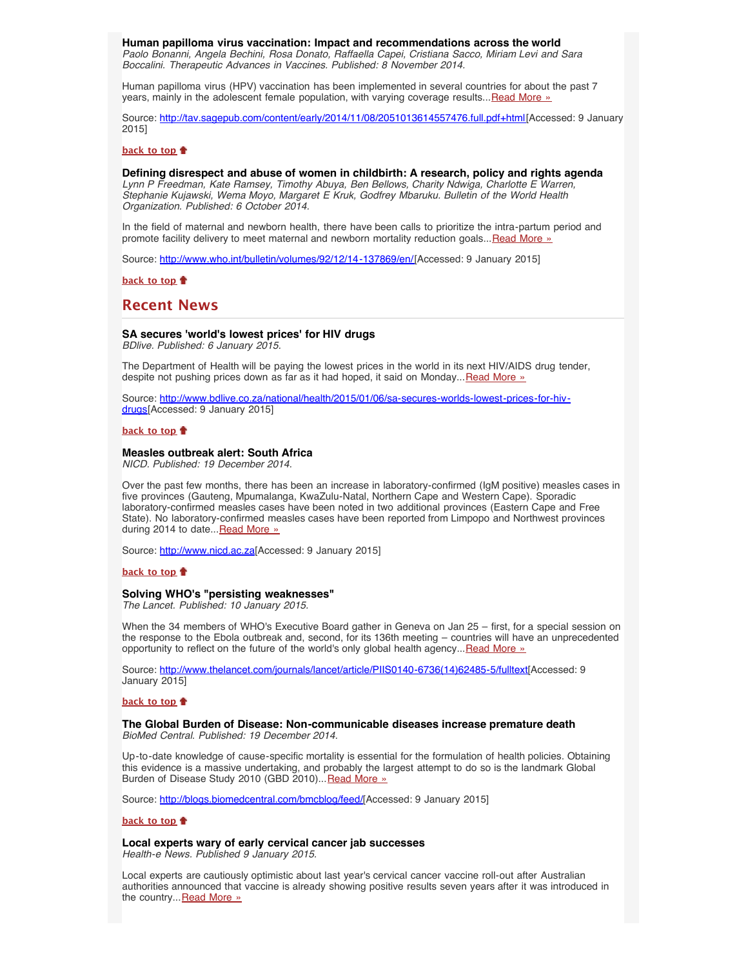<span id="page-2-0"></span>**Human papilloma virus vaccination: Impact and recommendations across the world** *Paolo Bonanni, Angela Bechini, Rosa Donato, Raffaella Capei, Cristiana Sacco, Miriam Levi and Sara Boccalini. Therapeutic Advances in Vaccines. Published: 8 November 2014.*

Human papilloma virus (HPV) vaccination has been implemented in several countries for about the past 7 years, mainly in the adolescent female population, with varying coverage results... [Read More »](http://tav.sagepub.com/content/early/2014/11/08/2051013614557476.full.pdf+html)

Source: [http://tav.sagepub.com/content/early/2014/11/08/2051013614557476.full.pdf+html\[](http://tav.sagepub.com/content/early/2014/11/08/2051013614557476.full.pdf+html)Accessed: 9 January 2015]

#### **[back to top](#page-0-2)**

**Defining disrespect and abuse of women in childbirth: A research, policy and rights agenda** *Lynn P Freedman, Kate Ramsey, Timothy Abuya, Ben Bellows, Charity Ndwiga, Charlotte E Warren, Stephanie Kujawski, Wema Moyo, Margaret E Kruk, Godfrey Mbaruku. Bulletin of the World Health Organization. Published: 6 October 2014.*

In the field of maternal and newborn health, there have been calls to prioritize the intra-partum period and promote facility delivery to meet maternal and newborn mortality reduction goals... [Read More »](http://www.who.int/bulletin/volumes/92/12/14-137869/en/)

Source: [http://www.who.int/bulletin/volumes/92/12/14-137869/en/\[](http://www.who.int/bulletin/volumes/92/12/14-137869/en/)Accessed: 9 January 2015]

## **[back to top](#page-0-2)**

# <span id="page-2-1"></span>**Recent News**

### <span id="page-2-2"></span>**SA secures 'world's lowest prices' for HIV drugs**

*BDlive. Published: 6 January 2015.*

The Department of Health will be paying the lowest prices in the world in its next HIV/AIDS drug tender, despite not pushing prices down as far as it had hoped, it said on Monday... [Read More »](http://www.hst.org.za/news/sa-secures-world-s-lowest-prices-hiv-drugs)

Source: [http://www.bdlive.co.za/national/health/2015/01/06/sa-secures-worlds-lowest-prices-for-hiv](http://www.bdlive.co.za/national/health/2015/01/06/sa-secures-worlds-lowest-prices-for-hiv-drugs)[drugs](http://www.bdlive.co.za/national/health/2015/01/06/sa-secures-worlds-lowest-prices-for-hiv-drugs)[Accessed: 9 January 2015]

#### **[back to top](#page-0-2)**

#### <span id="page-2-3"></span>**Measles outbreak alert: South Africa**

*NICD. Published: 19 December 2014.*

Over the past few months, there has been an increase in laboratory-confirmed (IgM positive) measles cases in five provinces (Gauteng, Mpumalanga, KwaZulu-Natal, Northern Cape and Western Cape). Sporadic laboratory-confirmed measles cases have been noted in two additional provinces (Eastern Cape and Free State). No laboratory-confirmed measles cases have been reported from Limpopo and Northwest provinces during 2014 to date... [Read More »](http://www.hst.org.za/news/measles-outbreak-alert-south-africa)

Source: [http://www.nicd.ac.za\[](http://www.nicd.ac.za/)Accessed: 9 January 2015]

#### **[back to top](#page-0-2)**

## <span id="page-2-4"></span>**Solving WHO's "persisting weaknesses"**

*The Lancet. Published: 10 January 2015.*

When the 34 members of WHO's Executive Board gather in Geneva on Jan 25 – first, for a special session on the response to the Ebola outbreak and, second, for its 136th meeting – countries will have an unprecedented opportunity to reflect on the future of the world's only global health agency...[Read More »](http://www.thelancet.com/journals/lancet/article/PIIS0140-6736(14)62485-5/fulltext)

Source: [http://www.thelancet.com/journals/lancet/article/PIIS0140-6736\(14\)62485-5/fulltext\[](http://www.thelancet.com/journals/lancet/article/PIIS0140-6736(14)62485-5/fulltext)Accessed: 9 January 2015]

#### **[back to top](#page-0-2)**

<span id="page-2-5"></span>**The Global Burden of Disease: Non-communicable diseases increase premature death** *BioMed Central. Published: 19 December 2014.*

Up-to-date knowledge of cause-specific mortality is essential for the formulation of health policies. Obtaining this evidence is a massive undertaking, and probably the largest attempt to do so is the landmark Global Burden of Disease Study 2010 (GBD 2010)... [Read More »](http://blogs.biomedcentral.com/bmcblog/feed/)

Source: [http://blogs.biomedcentral.com/bmcblog/feed/\[](http://blogs.biomedcentral.com/bmcblog/feed/)Accessed: 9 January 2015]

#### **[back to top](#page-0-2)**

**Local experts wary of early cervical cancer jab successes**

<span id="page-2-6"></span>*Health-e News. Published 9 January 2015.*

Local experts are cautiously optimistic about last year's cervical cancer vaccine roll-out after Australian authorities announced that vaccine is already showing positive results seven years after it was introduced in the country... [Read More »](http://www.hst.org.za/news/local-experts-wary-early-cervical-cancer-jab-successes)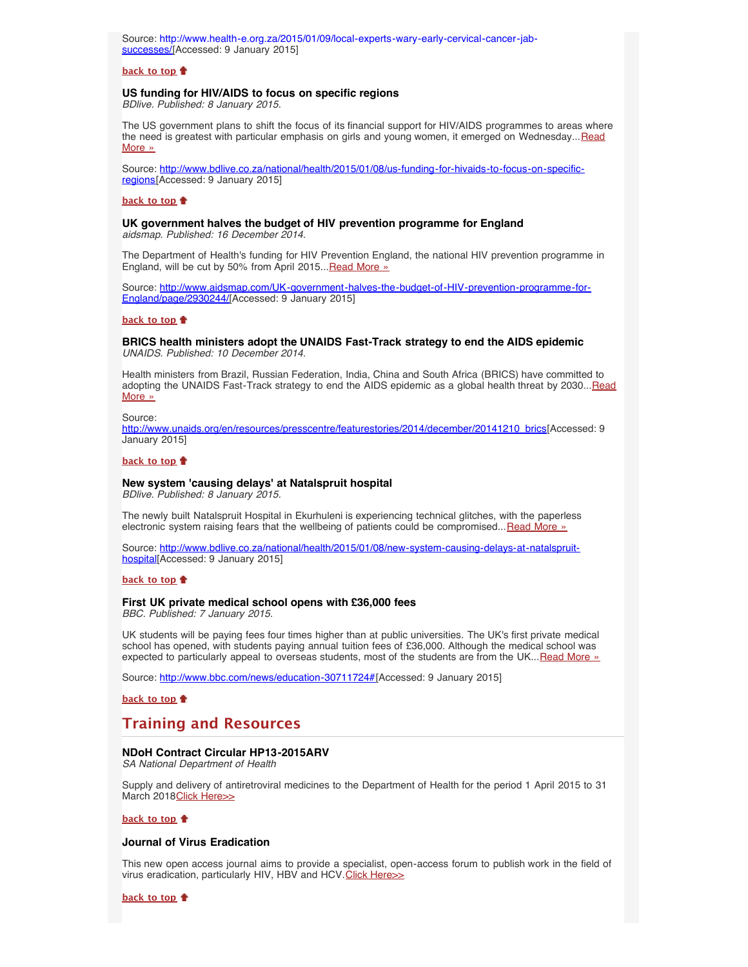Source: [http://www.health-e.org.za/2015/01/09/local-experts-wary-early-cervical-cancer-jab](http://www.health-e.org.za/2015/01/09/local-experts-wary-early-cervical-cancer-jab-successes/)[successes/](http://www.health-e.org.za/2015/01/09/local-experts-wary-early-cervical-cancer-jab-successes/)[Accessed: 9 January 2015]

#### **[back to top](#page-0-2)**

# <span id="page-3-0"></span>**US funding for HIV/AIDS to focus on specific regions**

*BDlive. Published: 8 January 2015.*

The US government plans to shift the focus of its financial support for HIV/AIDS programmes to areas where the need is greatest with particular emphasis on girls and young women, it emerged on Wednesday... [Read](http://www.bdlive.co.za/national/health/2015/01/08/us-funding-for-hivaids-to-focus-on-specific-regions) [More »](http://www.bdlive.co.za/national/health/2015/01/08/us-funding-for-hivaids-to-focus-on-specific-regions)

Source: [http://www.bdlive.co.za/national/health/2015/01/08/us-funding-for-hivaids-to-focus-on-specific](http://www.bdlive.co.za/national/health/2015/01/08/us-funding-for-hivaids-to-focus-on-specific-regions)[regions\[](http://www.bdlive.co.za/national/health/2015/01/08/us-funding-for-hivaids-to-focus-on-specific-regions)Accessed: 9 January 2015]

### **[back to top](#page-0-2)**

#### <span id="page-3-1"></span>**UK government halves the budget of HIV prevention programme for England** *aidsmap. Published: 16 December 2014.*

The Department of Health's funding for HIV Prevention England, the national HIV prevention programme in England, will be cut by 50% from April 2015... [Read More »](http://www.aidsmap.com/UK-government-halves-the-budget-of-HIV-prevention-programme-for-England/page/2930244/)

Source: [http://www.aidsmap.com/UK-government-halves-the-budget-of-HIV-prevention-programme-for-](http://www.aidsmap.com/UK-government-halves-the-budget-of-HIV-prevention-programme-for-England/page/2930244/)[England/page/2930244/\[](http://www.aidsmap.com/UK-government-halves-the-budget-of-HIV-prevention-programme-for-England/page/2930244/)Accessed: 9 January 2015]

### **[back to top](#page-0-2)**

<span id="page-3-2"></span>**BRICS health ministers adopt the UNAIDS Fast-Track strategy to end the AIDS epidemic** *UNAIDS. Published: 10 December 2014.*

Health ministers from Brazil, Russian Federation, India, China and South Africa (BRICS) have committed to adopting the UNAIDS Fast-Track strategy to end the AIDS epidemic as a global health threat by 2030... [Read](http://www.hst.org.za/news/brics-health-ministers-adopt-unaids-fast-track-strategy-end-aids-epidemic) [More »](http://www.hst.org.za/news/brics-health-ministers-adopt-unaids-fast-track-strategy-end-aids-epidemic)

Source:

[http://www.unaids.org/en/resources/presscentre/featurestories/2014/december/20141210\\_brics](http://www.unaids.org/en/resources/presscentre/featurestories/2014/december/20141210_brics)[Accessed: 9 January 2015]

#### **[back to top](#page-0-2)**

# <span id="page-3-3"></span>**New system 'causing delays' at Natalspruit hospital**

*BDlive. Published: 8 January 2015.*

The newly built Natalspruit Hospital in Ekurhuleni is experiencing technical glitches, with the paperless electronic system raising fears that the wellbeing of patients could be compromised...[Read More »](http://www.hst.org.za/news/new-system-causing-delays-natalspruit-hospital)

Source: [http://www.bdlive.co.za/national/health/2015/01/08/new-system-causing-delays-at-natalspruit](http://www.bdlive.co.za/national/health/2015/01/08/new-system-causing-delays-at-natalspruit-hospital)[hospital\[](http://www.bdlive.co.za/national/health/2015/01/08/new-system-causing-delays-at-natalspruit-hospital)Accessed: 9 January 2015]

#### **[back to top](#page-0-2)**

# <span id="page-3-4"></span>**First UK private medical school opens with £36,000 fees**

*BBC. Published: 7 January 2015.*

UK students will be paying fees four times higher than at public universities. The UK's first private medical school has opened, with students paying annual tuition fees of £36,000. Although the medical school was expected to particularly appeal to overseas students, most of the students are from the UK... [Read More »](http://www.bbc.com/news/education-30711724#)

Source: [http://www.bbc.com/news/education-30711724#\[](http://www.bbc.com/news/education-30711724#)Accessed: 9 January 2015]

**[back to top](#page-0-2)**

# <span id="page-3-5"></span>**Training and Resources**

## <span id="page-3-6"></span>**NDoH Contract Circular HP13-2015ARV**

*SA National Department of Health*

Supply and delivery of antiretroviral medicines to the Department of Health for the period 1 April 2015 to 31 March 2018 [Click Here>>](http://www.health.gov.za/docs/contructs/HP13_2015ARVDec2014.pdf)

### **[back to top](#page-0-2)**

## <span id="page-3-7"></span>**Journal of Virus Eradication**

This new open access journal aims to provide a specialist, open-access forum to publish work in the field of virus eradication, particularly HIV, HBV and HCV. [Click Here>>](http://www.viruseradication.com/)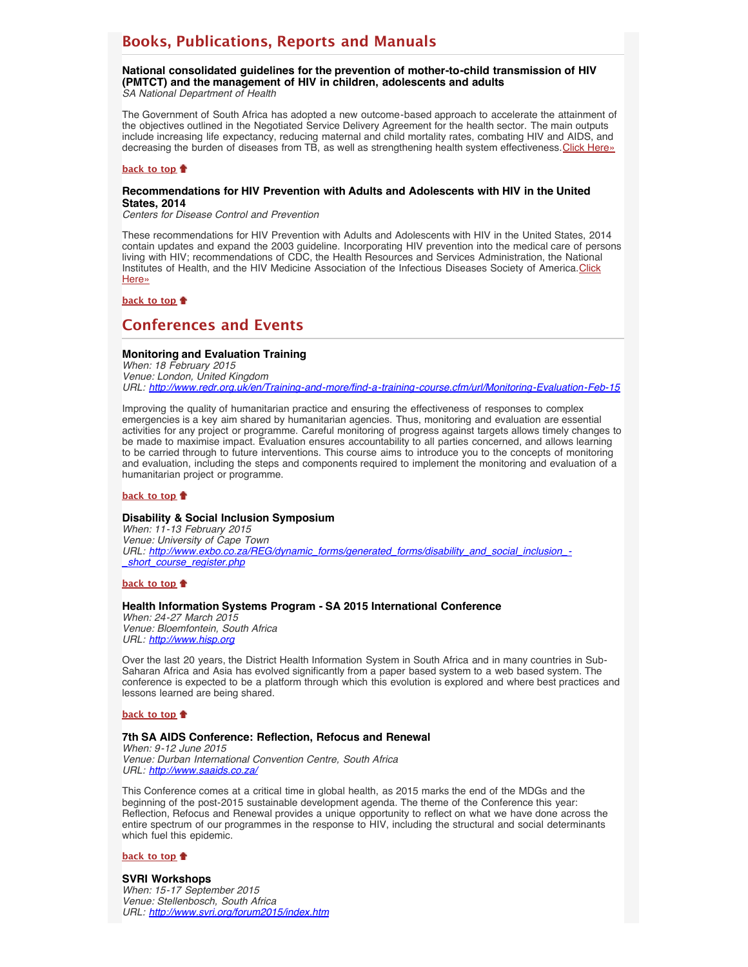# <span id="page-4-0"></span>**Books, Publications, Reports and Manuals**

<span id="page-4-1"></span>**National consolidated guidelines for the prevention of mother-to-child transmission of HIV (PMTCT) and the management of HIV in children, adolescents and adults** *SA National Department of Health*

The Government of South Africa has adopted a new outcome-based approach to accelerate the attainment of the objectives outlined in the Negotiated Service Delivery Agreement for the health sector. The main outputs include increasing life expectancy, reducing maternal and child mortality rates, combating HIV and AIDS, and decreasing the burden of diseases from TB, as well as strengthening health system effectiveness. [Click Here»](http://www.hst.org.za/publications/national-consolidated-guidelines-prevention-mother-child-transmission-hiv-pmtct-and-man)

### **[back to top](#page-0-2)**

### <span id="page-4-2"></span>**Recommendations for HIV Prevention with Adults and Adolescents with HIV in the United States, 2014**

*Centers for Disease Control and Prevention*

These recommendations for HIV Prevention with Adults and Adolescents with HIV in the United States, 2014 contain updates and expand the 2003 guideline. Incorporating HIV prevention into the medical care of persons living with HIV; recommendations of CDC, the Health Resources and Services Administration, the National Institutes of Health, and the HIV Medicine Association of the Infectious Diseases Society of America. [Click](http://stacks.cdc.gov/view/cdc/26062) [Here»](http://stacks.cdc.gov/view/cdc/26062)

# **[back to top](#page-0-2)**

# <span id="page-4-3"></span>**Conferences and Events**

## <span id="page-4-4"></span>**Monitoring and Evaluation Training**

*When: 18 February 2015 Venue: London, United Kingdom URL: <http://www.redr.org.uk/en/Training-and-more/find-a-training-course.cfm/url/Monitoring-Evaluation-Feb-15>*

Improving the quality of humanitarian practice and ensuring the effectiveness of responses to complex emergencies is a key aim shared by humanitarian agencies. Thus, monitoring and evaluation are essential activities for any project or programme. Careful monitoring of progress against targets allows timely changes to be made to maximise impact. Evaluation ensures accountability to all parties concerned, and allows learning to be carried through to future interventions. This course aims to introduce you to the concepts of monitoring and evaluation, including the steps and components required to implement the monitoring and evaluation of a humanitarian project or programme.

#### **[back to top](#page-0-2)**

#### <span id="page-4-5"></span>**Disability & Social Inclusion Symposium**

*When: 11-13 February 2015 Venue: University of Cape Town URL: [http://www.exbo.co.za/REG/dynamic\\_forms/generated\\_forms/disability\\_and\\_social\\_inclusion\\_-](http://www.exbo.co.za/REG/dynamic_forms/generated_forms/disability_and_social_inclusion_-_short_course_register.php) [\\_short\\_course\\_register.php](http://www.exbo.co.za/REG/dynamic_forms/generated_forms/disability_and_social_inclusion_-_short_course_register.php)*

## **[back to top](#page-0-2)**

### <span id="page-4-6"></span>**Health Information Systems Program - SA 2015 International Conference**

*When: 24-27 March 2015 Venue: Bloemfontein, South Africa URL: [http://www.hisp.org](http://www.hisp.org/)*

Over the last 20 years, the District Health Information System in South Africa and in many countries in Sub-Saharan Africa and Asia has evolved significantly from a paper based system to a web based system. The conference is expected to be a platform through which this evolution is explored and where best practices and lessons learned are being shared.

#### **[back to top](#page-0-2)**

#### <span id="page-4-7"></span>**7th SA AIDS Conference: Reflection, Refocus and Renewal**

*When: 9-12 June 2015 Venue: Durban International Convention Centre, South Africa URL: <http://www.saaids.co.za/>*

This Conference comes at a critical time in global health, as 2015 marks the end of the MDGs and the beginning of the post-2015 sustainable development agenda. The theme of the Conference this year: Reflection, Refocus and Renewal provides a unique opportunity to reflect on what we have done across the entire spectrum of our programmes in the response to HIV, including the structural and social determinants which fuel this epidemic.

#### **[back to top](#page-0-2)**

#### <span id="page-4-8"></span>**SVRI Workshops**

*When: 15-17 September 2015 Venue: Stellenbosch, South Africa URL: <http://www.svri.org/forum2015/index.htm>*